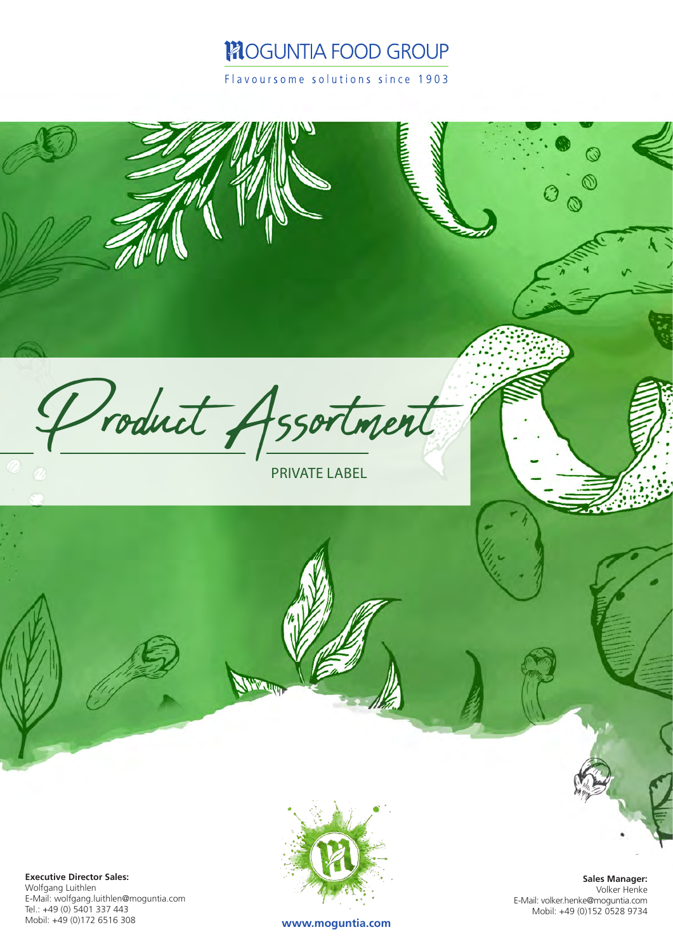## **MOGUNTIA FOOD GROUP**

Flavoursome solutions since 1903



**Executive Director Sales:** Wolfgang Luithlen E-Mail: wolfgang.luithlen@moguntia.com Tel.: +49 (0) 5401 337 443 Mobil: +49 (0)172 6516 308



**Sales Manager:** Volker Henke E-Mail: volker.henke@moguntia.com Mobil: +49 (0)152 0528 9734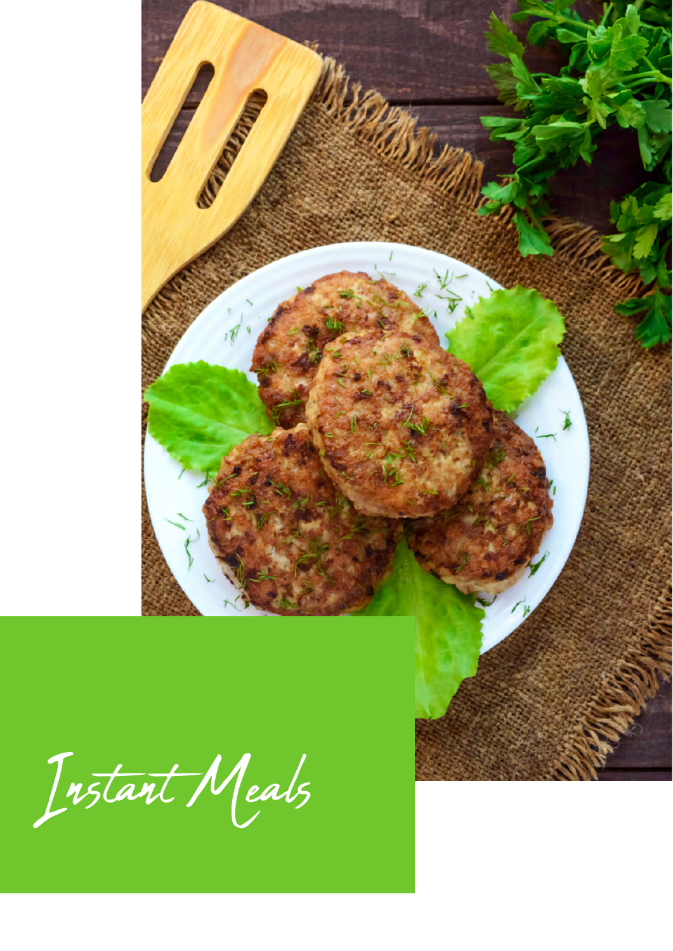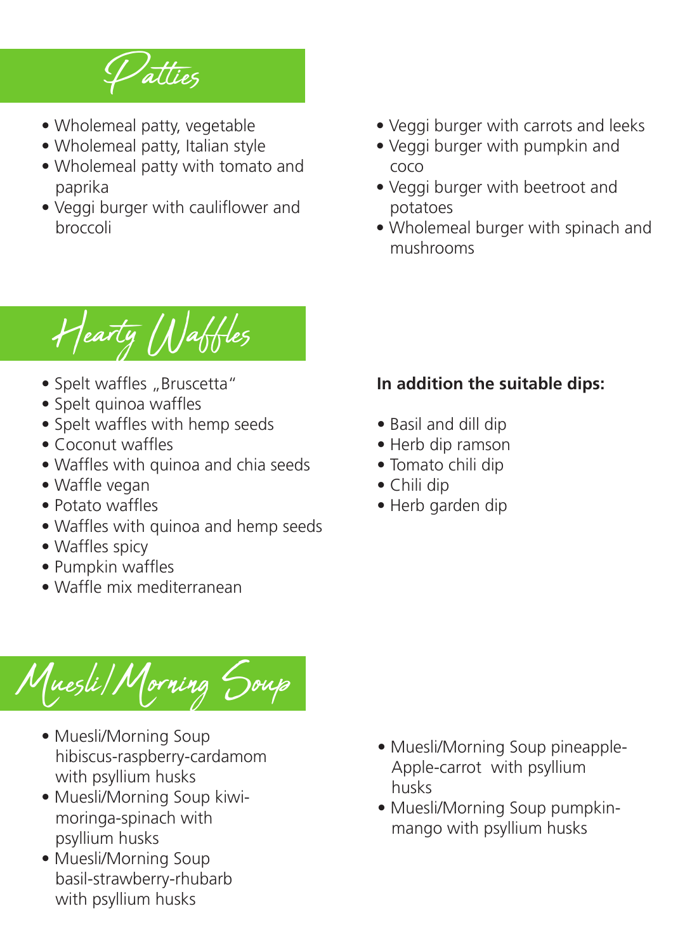

- Wholemeal patty, vegetable
- Wholemeal patty, Italian style
- Wholemeal patty with tomato and paprika
- Veggi burger with cauliflower and broccoli
- Veggi burger with carrots and leeks
- Veggi burger with pumpkin and coco
- Veggi burger with beetroot and potatoes
- Wholemeal burger with spinach and mushrooms

Hearty Waffles

- Spelt waffles "Bruscetta"
- Spelt quinoa waffles
- Spelt waffles with hemp seeds
- Coconut waffles
- Waffles with quinoa and chia seeds
- Waffle vegan
- Potato waffles
- Waffles with quinoa and hemp seeds
- Waffles spicy
- Pumpkin waffles
- Waffle mix mediterranean

## Muesli/Morning Soup

- Muesli/Morning Soup hibiscus-raspberry-cardamom with psyllium husks
- Muesli/Morning Soup kiwi moringa-spinach with psyllium husks
- Muesli/Morning Soup basil-strawberry-rhubarb with psyllium husks
- Muesli/Morning Soup pineapple- Apple-carrot with psyllium husks
- Muesli/Morning Soup pumpkin mango with psyllium husks

## **In addition the suitable dips:**

- Basil and dill dip
- Herb dip ramson
- Tomato chili dip
- Chili dip
- Herb garden dip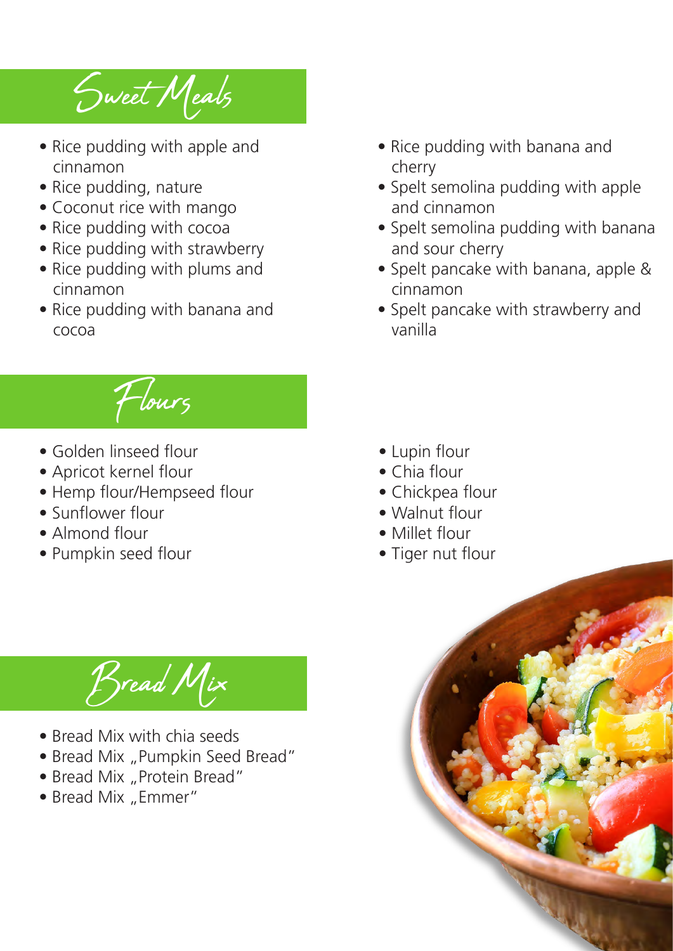Sweet Meals

- Rice pudding with apple and cinnamon
- Rice pudding, nature
- Coconut rice with mango
- Rice pudding with cocoa
- Rice pudding with strawberry
- Rice pudding with plums and cinnamon
- Rice pudding with banana and cocoa
	- Flours
- Golden linseed flour
- Apricot kernel flour
- Hemp flour/Hempseed flour
- Sunflower flour
- Almond flour
- Pumpkin seed flour

Bread Mix

- Bread Mix with chia seeds
- Bread Mix "Pumpkin Seed Bread"
- Bread Mix "Protein Bread"
- Bread Mix "Emmer"
- Rice pudding with banana and cherry
- Spelt semolina pudding with apple and cinnamon
- Spelt semolina pudding with banana and sour cherry
- Spelt pancake with banana, apple & cinnamon
- Spelt pancake with strawberry and vanilla

- Lupin flour
- Chia flour
- Chickpea flour
- Walnut flour
- Millet flour
- Tiger nut flour

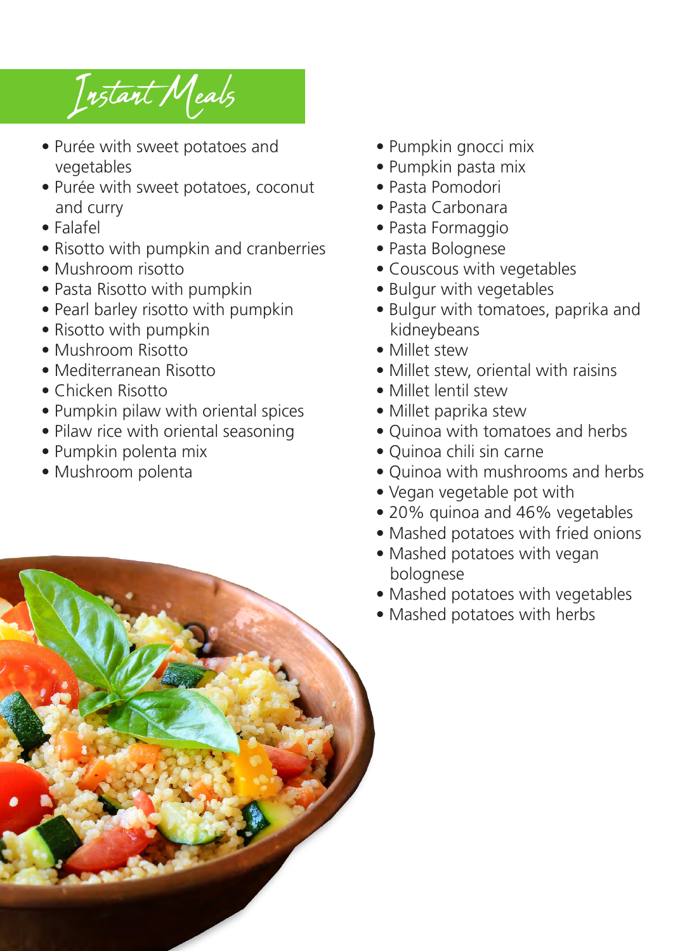Instant Meals

- Purée with sweet potatoes and vegetables
- Purée with sweet potatoes, coconut and curry
- Falafel
- Risotto with pumpkin and cranberries
- Mushroom risotto
- Pasta Risotto with pumpkin
- Pearl barley risotto with pumpkin
- Risotto with pumpkin
- Mushroom Risotto
- Mediterranean Risotto
- Chicken Risotto
- Pumpkin pilaw with oriental spices
- Pilaw rice with oriental seasoning
- Pumpkin polenta mix
- Mushroom polenta
- Pumpkin gnocci mix
- Pumpkin pasta mix
- Pasta Pomodori
- Pasta Carbonara
- Pasta Formaggio
- Pasta Bolognese
- Couscous with vegetables
- Bulgur with vegetables
- Bulgur with tomatoes, paprika and kidneybeans
- Millet stew
- Millet stew, oriental with raisins
- Millet lentil stew
- Millet paprika stew
- Quinoa with tomatoes and herbs
- Quinoa chili sin carne
- Quinoa with mushrooms and herbs
- Vegan vegetable pot with
- 20% quinoa and 46% vegetables
- Mashed potatoes with fried onions
- Mashed potatoes with vegan bolognese
- Mashed potatoes with vegetables
- Mashed potatoes with herbs